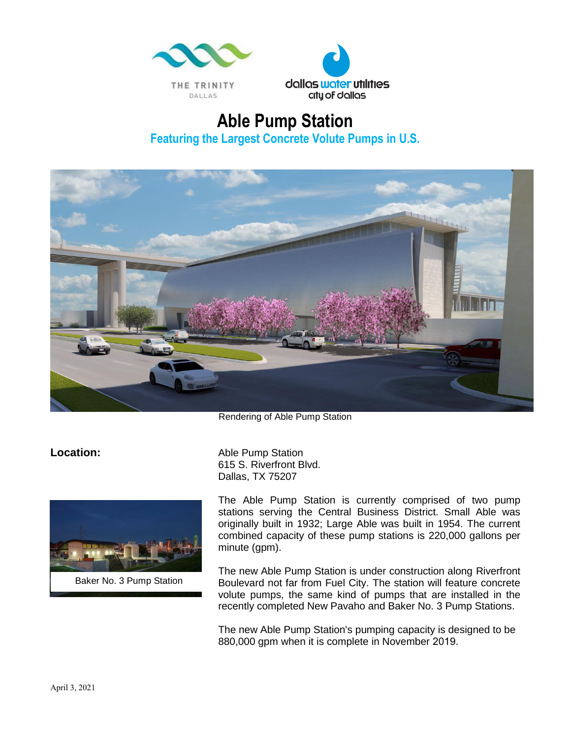



## **Able Pump Station Featuring the Largest Concrete Volute Pumps in U.S.**



Rendering of Able Pump Station



Baker No. 3 Pump Station

**Location:** Able Pump Station 615 S. Riverfront Blvd. Dallas, TX 75207

> The Able Pump Station is currently comprised of two pump stations serving the Central Business District. Small Able was originally built in 1932; Large Able was built in 1954. The current combined capacity of these pump stations is 220,000 gallons per minute (gpm).

> The new Able Pump Station is under construction along Riverfront Boulevard not far from Fuel City. The station will feature concrete volute pumps, the same kind of pumps that are installed in the recently completed New Pavaho and Baker No. 3 Pump Stations.

The new Able Pump Station's pumping capacity is designed to be 880,000 gpm when it is complete in November 2019.